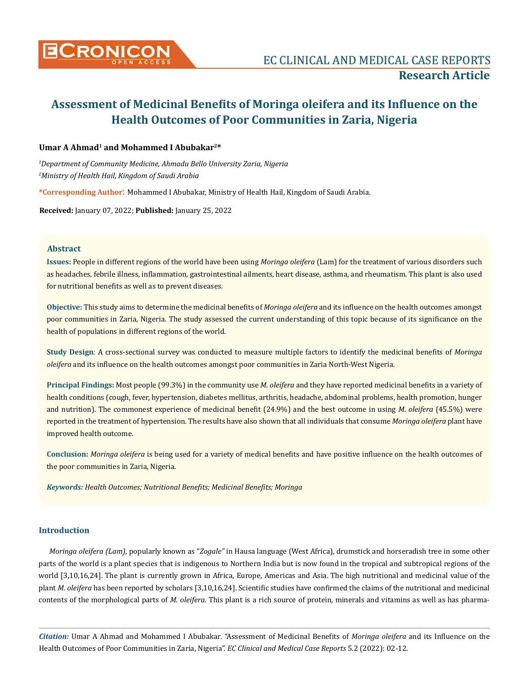

## **Umar A Ahmad1 and Mohammed I Abubakar2\***

*1 Department of Community Medicine, Ahmadu Bello University Zaria, Nigeria 2 Ministry of Health Hail, Kingdom of Saudi Arabia* 

**\*Corresponding Author**: Mohammed I Abubakar, Ministry of Health Hail, Kingdom of Saudi Arabia.

**Received:** January 07, 2022; **Published:** January 25, 2022

# **Abstract**

**Issues:** People in different regions of the world have been using *Moringa oleifera* (Lam) for the treatment of various disorders such as headaches, febrile illness, inflammation, gastrointestinal ailments, heart disease, asthma, and rheumatism. This plant is also used for nutritional benefits as well as to prevent diseases.

**Objective:** This study aims to determine the medicinal benefits of *Moringa oleifera* and its influence on the health outcomes amongst poor communities in Zaria, Nigeria. The study assessed the current understanding of this topic because of its significance on the health of populations in different regions of the world.

**Study Design**: A cross-sectional survey was conducted to measure multiple factors to identify the medicinal benefits of *Moringa oleifera* and its influence on the health outcomes amongst poor communities in Zaria North-West Nigeria.

**Principal Findings:** Most people (99.3%) in the community use *M. oleifera* and they have reported medicinal benefits in a variety of health conditions (cough, fever, hypertension, diabetes mellitus, arthritis, headache, abdominal problems, health promotion, hunger and nutrition). The commonest experience of medicinal benefit (24.9%) and the best outcome in using *M. oleifera* (45.5%) were reported in the treatment of hypertension. The results have also shown that all individuals that consume *Moringa oleifera* plant have improved health outcome.

**Conclusion:** *Moringa oleifera* is being used for a variety of medical benefits and have positive influence on the health outcomes of the poor communities in Zaria, Nigeria.

*Keywords: Health Outcomes; Nutritional Benefits; Medicinal Benefits; Moringa*

## **Introduction**

*Moringa oleifera (Lam)*, popularly known as "*Zogale"* in Hausa language (West Africa), drumstick and horseradish tree in some other parts of the world is a plant species that is indigenous to Northern India but is now found in the tropical and subtropical regions of the world [3,10,16,24]. The plant is currently grown in Africa, Europe, Americas and Asia. The high nutritional and medicinal value of the plant *M. oleifera* has been reported by scholars [3,10,16,24]. Scientific studies have confirmed the claims of the nutritional and medicinal contents of the morphological parts of *M. oleifera.* This plant is a rich source of protein, minerals and vitamins as well as has pharma-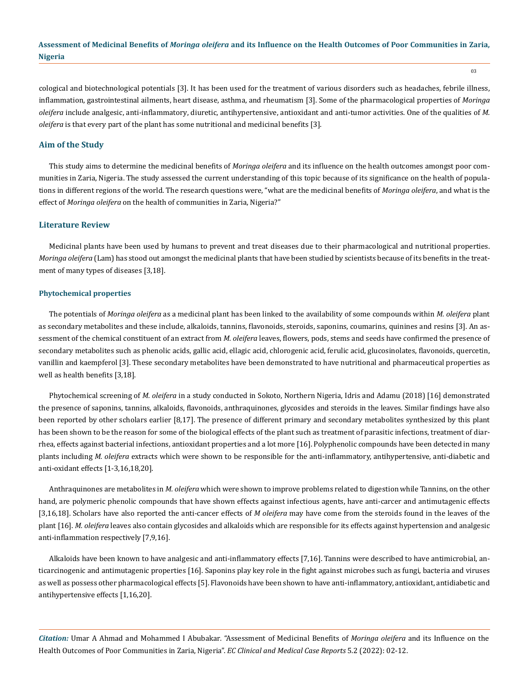cological and biotechnological potentials [3]. It has been used for the treatment of various disorders such as headaches, febrile illness, inflammation, gastrointestinal ailments, heart disease, asthma, and rheumatism [3]. Some of the pharmacological properties of *Moringa oleifera* include analgesic, anti-inflammatory, diuretic, antihypertensive, antioxidant and anti-tumor activities. One of the qualities of *M. oleifera* is that every part of the plant has some nutritional and medicinal benefits [3].

#### **Aim of the Study**

This study aims to determine the medicinal benefits of *Moringa oleifera* and its influence on the health outcomes amongst poor communities in Zaria, Nigeria. The study assessed the current understanding of this topic because of its significance on the health of populations in different regions of the world. The research questions were, "what are the medicinal benefits of *Moringa oleifera*, and what is the effect of *Moringa oleifera* on the health of communities in Zaria, Nigeria?"

#### **Literature Review**

Medicinal plants have been used by humans to prevent and treat diseases due to their pharmacological and nutritional properties. *Moringa oleifera* (Lam) has stood out amongst the medicinal plants that have been studied by scientists because of its benefits in the treatment of many types of diseases [3,18].

#### **Phytochemical properties**

The potentials of *Moringa oleifera* as a medicinal plant has been linked to the availability of some compounds within *M. oleifera* plant as secondary metabolites and these include, alkaloids, tannins, flavonoids, steroids, saponins, coumarins, quinines and resins [3]. An assessment of the chemical constituent of an extract from *M. oleifera* leaves, flowers, pods, stems and seeds have confirmed the presence of secondary metabolites such as phenolic acids, gallic acid, ellagic acid, chlorogenic acid, ferulic acid, glucosinolates, flavonoids, quercetin, vanillin and kaempferol [3]. These secondary metabolites have been demonstrated to have nutritional and pharmaceutical properties as well as health benefits [3,18].

Phytochemical screening of *M. oleifera* in a study conducted in Sokoto, Northern Nigeria, Idris and Adamu (2018) [16] demonstrated the presence of saponins, tannins, alkaloids, flavonoids, anthraquinones, glycosides and steroids in the leaves. Similar findings have also been reported by other scholars earlier [8,17]. The presence of different primary and secondary metabolites synthesized by this plant has been shown to be the reason for some of the biological effects of the plant such as treatment of parasitic infections, treatment of diarrhea, effects against bacterial infections, antioxidant properties and a lot more [16]. Polyphenolic compounds have been detected in many plants including *M. oleifera* extracts which were shown to be responsible for the anti-inflammatory, antihypertensive, anti-diabetic and anti-oxidant effects [1-3,16,18,20].

Anthraquinones are metabolites in *M. oleifera* which were shown to improve problems related to digestion while Tannins, on the other hand, are polymeric phenolic compounds that have shown effects against infectious agents, have anti-carcer and antimutagenic effects [3,16,18]. Scholars have also reported the anti-cancer effects of *M oleifera* may have come from the steroids found in the leaves of the plant [16]. *M. oleifera* leaves also contain glycosides and alkaloids which are responsible for its effects against hypertension and analgesic anti-inflammation respectively [7,9,16].

Alkaloids have been known to have analgesic and anti-inflammatory effects [7,16]. Tannins were described to have antimicrobial, anticarcinogenic and antimutagenic properties [16]. Saponins play key role in the fight against microbes such as fungi, bacteria and viruses as well as possess other pharmacological effects [5]. Flavonoids have been shown to have anti-inflammatory, antioxidant, antidiabetic and antihypertensive effects [1,16,20].

*Citation:* Umar A Ahmad and Mohammed I Abubakar*.* "Assessment of Medicinal Benefits of *Moringa oleifera* and its Influence on the Health Outcomes of Poor Communities in Zaria, Nigeria". *EC Clinical and Medical Case Reports* 5.2 (2022): 02-12.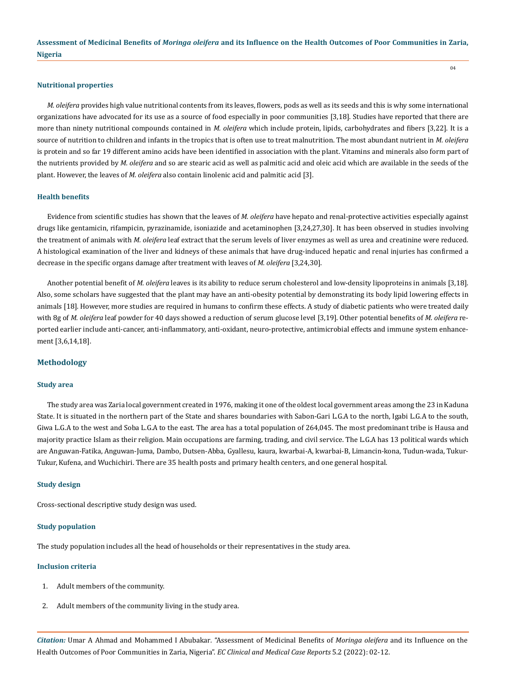04

#### **Nutritional properties**

*M. oleifera* provides high value nutritional contents from its leaves, flowers, pods as well as its seeds and this is why some international organizations have advocated for its use as a source of food especially in poor communities [3,18]. Studies have reported that there are more than ninety nutritional compounds contained in *M. oleifera* which include protein, lipids, carbohydrates and fibers [3,22]. It is a source of nutrition to children and infants in the tropics that is often use to treat malnutrition. The most abundant nutrient in *M. oleifera* is protein and so far 19 different amino acids have been identified in association with the plant. Vitamins and minerals also form part of the nutrients provided by *M. oleifera* and so are stearic acid as well as palmitic acid and oleic acid which are available in the seeds of the plant. However, the leaves of *M. oleifera* also contain linolenic acid and palmitic acid [3].

#### **Health benefits**

Evidence from scientific studies has shown that the leaves of *M. oleifera* have hepato and renal-protective activities especially against drugs like gentamicin, rifampicin, pyrazinamide, isoniazide and acetaminophen [3,24,27,30]. It has been observed in studies involving the treatment of animals with *M. oleifera* leaf extract that the serum levels of liver enzymes as well as urea and creatinine were reduced. A histological examination of the liver and kidneys of these animals that have drug-induced hepatic and renal injuries has confirmed a decrease in the specific organs damage after treatment with leaves of *M. oleifera* [3,24,30].

Another potential benefit of *M. oleifera* leaves is its ability to reduce serum cholesterol and low-density lipoproteins in animals [3,18]. Also, some scholars have suggested that the plant may have an anti-obesity potential by demonstrating its body lipid lowering effects in animals [18]. However, more studies are required in humans to confirm these effects. A study of diabetic patients who were treated daily with 8g of *M. oleifera* leaf powder for 40 days showed a reduction of serum glucose level [3,19]. Other potential benefits of *M. oleifera* reported earlier include anti-cancer, anti-inflammatory, anti-oxidant, neuro-protective, antimicrobial effects and immune system enhancement [3,6,14,18].

## **Methodology**

#### **Study area**

The study area was Zaria local government created in 1976, making it one of the oldest local government areas among the 23 in Kaduna State. It is situated in the northern part of the State and shares boundaries with Sabon-Gari L.G.A to the north, Igabi L.G.A to the south, Giwa L.G.A to the west and Soba L.G.A to the east. The area has a total population of 264,045. The most predominant tribe is Hausa and majority practice Islam as their religion. Main occupations are farming, trading, and civil service. The L.G.A has 13 political wards which are Anguwan-Fatika, Anguwan-Juma, Dambo, Dutsen-Abba, Gyallesu, kaura, kwarbai-A, kwarbai-B, Limancin-kona, Tudun-wada, Tukur-Tukur, Kufena, and Wuchichiri. There are 35 health posts and primary health centers, and one general hospital.

#### **Study design**

Cross-sectional descriptive study design was used.

#### **Study population**

The study population includes all the head of households or their representatives in the study area.

#### **Inclusion criteria**

- 1. Adult members of the community.
- 2. Adult members of the community living in the study area.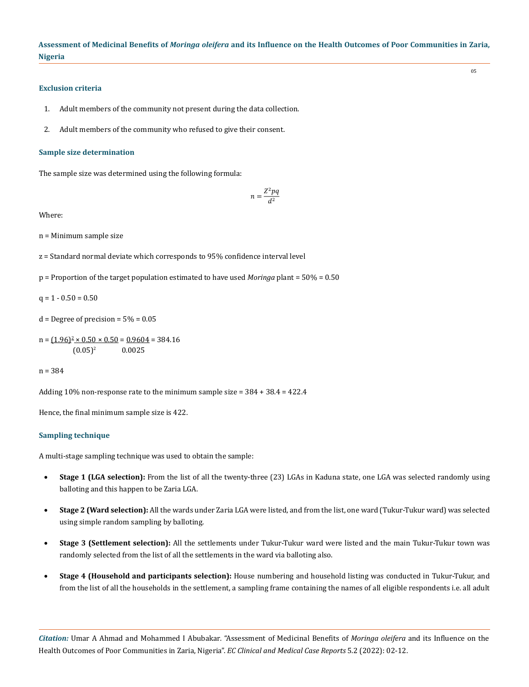#### **Exclusion criteria**

- 1. Adult members of the community not present during the data collection.
- 2. Adult members of the community who refused to give their consent.

#### **Sample size determination**

The sample size was determined using the following formula:

$$
n = \frac{Z^2 pq}{d^2}
$$

Where:

n = Minimum sample size

z = Standard normal deviate which corresponds to 95% confidence interval level

p = Proportion of the target population estimated to have used *Moringa* plant = 50% = 0.50

 $q = 1 - 0.50 = 0.50$ 

 $d =$  Degree of precision =  $5\% = 0.05$ 

n = 
$$
(1.96)^2 \times 0.50 \times 0.50 = 0.9604 = 384.16
$$
  
(0.05)<sup>2</sup> 0.0025

n = 384

Adding 10% non-response rate to the minimum sample size = 384 + 38.4 = 422.4

Hence, the final minimum sample size is 422.

#### **Sampling technique**

A multi-stage sampling technique was used to obtain the sample:

- **Stage 1 (LGA selection):** From the list of all the twenty-three (23) LGAs in Kaduna state, one LGA was selected randomly using balloting and this happen to be Zaria LGA.
- • **Stage 2 (Ward selection):** All the wards under Zaria LGA were listed, and from the list, one ward (Tukur-Tukur ward) was selected using simple random sampling by balloting.
- **Stage 3 (Settlement selection):** All the settlements under Tukur-Tukur ward were listed and the main Tukur-Tukur town was randomly selected from the list of all the settlements in the ward via balloting also.
- **Stage 4 (Household and participants selection):** House numbering and household listing was conducted in Tukur-Tukur, and from the list of all the households in the settlement, a sampling frame containing the names of all eligible respondents i.e. all adult

*Citation:* Umar A Ahmad and Mohammed I Abubakar*.* "Assessment of Medicinal Benefits of *Moringa oleifera* and its Influence on the Health Outcomes of Poor Communities in Zaria, Nigeria". *EC Clinical and Medical Case Reports* 5.2 (2022): 02-12.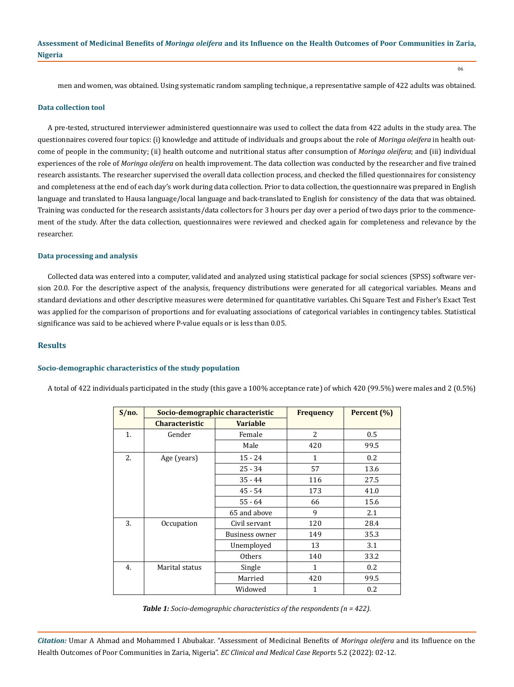men and women, was obtained. Using systematic random sampling technique, a representative sample of 422 adults was obtained.

06

#### **Data collection tool**

A pre-tested, structured interviewer administered questionnaire was used to collect the data from 422 adults in the study area. The questionnaires covered four topics: (i) knowledge and attitude of individuals and groups about the role of *Moringa oleifera* in health outcome of people in the community; (ii) health outcome and nutritional status after consumption of *Moringa oleifera*; and (iii) individual experiences of the role of *Moringa oleifera* on health improvement. The data collection was conducted by the researcher and five trained research assistants. The researcher supervised the overall data collection process, and checked the filled questionnaires for consistency and completeness at the end of each day's work during data collection. Prior to data collection, the questionnaire was prepared in English language and translated to Hausa language/local language and back-translated to English for consistency of the data that was obtained. Training was conducted for the research assistants/data collectors for 3 hours per day over a period of two days prior to the commencement of the study. After the data collection, questionnaires were reviewed and checked again for completeness and relevance by the researcher.

## **Data processing and analysis**

Collected data was entered into a computer, validated and analyzed using statistical package for social sciences (SPSS) software version 20.0. For the descriptive aspect of the analysis, frequency distributions were generated for all categorical variables. Means and standard deviations and other descriptive measures were determined for quantitative variables. Chi Square Test and Fisher's Exact Test was applied for the comparison of proportions and for evaluating associations of categorical variables in contingency tables. Statistical significance was said to be achieved where P-value equals or is less than 0.05.

#### **Results**

#### **Socio-demographic characteristics of the study population**

A total of 422 individuals participated in the study (this gave a 100% acceptance rate) of which 420 (99.5%) were males and 2 (0.5%)

| S/no. |                       | Socio-demographic characteristic |              | Percent (%) |
|-------|-----------------------|----------------------------------|--------------|-------------|
|       | <b>Characteristic</b> | <b>Variable</b>                  |              |             |
| 1.    | Gender                | Female                           | 2            | 0.5         |
|       |                       | Male                             | 420          | 99.5        |
| 2.    | Age (years)           | $15 - 24$                        | $\mathbf{1}$ | 0.2         |
|       |                       | $25 - 34$                        | 57           | 13.6        |
|       |                       | $35 - 44$                        | 116          | 27.5        |
|       |                       | $45 - 54$                        | 173          | 41.0        |
|       |                       | $55 - 64$                        | 66           | 15.6        |
|       |                       | 65 and above                     | 9            | 2.1         |
| 3.    | Occupation            | Civil servant                    | 120          | 28.4        |
|       |                       | Business owner                   | 149          | 35.3        |
|       |                       | Unemployed                       | 13           | 3.1         |
|       |                       | <b>Others</b>                    | 140          | 33.2        |
| 4.    | Marital status        | Single                           | 1            | 0.2         |
|       |                       | Married                          | 420          | 99.5        |
|       |                       | Widowed                          | 1            | 0.2         |

*Table 1: Socio-demographic characteristics of the respondents (n = 422).*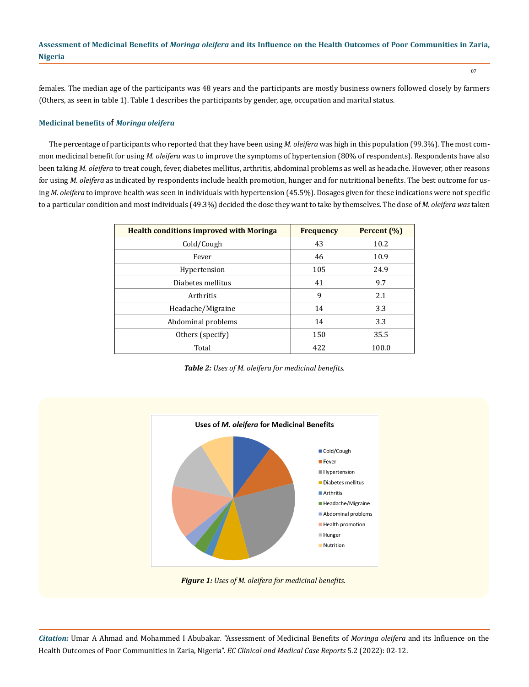females. The median age of the participants was 48 years and the participants are mostly business owners followed closely by farmers (Others, as seen in table 1). Table 1 describes the participants by gender, age, occupation and marital status.

## **Medicinal benefits o**f *Moringa oleifera*

The percentage of participants who reported that they have been using *M. oleifera* was high in this population (99.3%). The most common medicinal benefit for using *M. oleifera* was to improve the symptoms of hypertension (80% of respondents). Respondents have also been taking *M. oleifera* to treat cough, fever, diabetes mellitus, arthritis, abdominal problems as well as headache. However, other reasons for using *M*. *oleifera* as indicated by respondents include health promotion, hunger and for nutritional benefits. The best outcome for using *M. oleifera* to improve health was seen in individuals with hypertension (45.5%). Dosages given for these indications were not specific to a particular condition and most individuals (49.3%) decided the dose they want to take by themselves. The dose of *M. oleifera was* taken

| <b>Health conditions improved with Moringa</b> | <b>Frequency</b> | Percent (%) |
|------------------------------------------------|------------------|-------------|
| Cold/Cough                                     | 43               | 10.2        |
| Fever                                          | 46               | 10.9        |
| Hypertension                                   | 105              | 24.9        |
| Diabetes mellitus                              | 41               | 9.7         |
| Arthritis                                      | 9                | 2.1         |
| Headache/Migraine                              | 14               | 3.3         |
| Abdominal problems                             | 14               | 3.3         |
| Others (specify)                               | 150              | 35.5        |
| Total                                          | 422              | 100.0       |

*Table 2: Uses of M. oleifera for medicinal benefits.*





*Citation:* Umar A Ahmad and Mohammed I Abubakar*.* "Assessment of Medicinal Benefits of *Moringa oleifera* and its Influence on the Health Outcomes of Poor Communities in Zaria, Nigeria". *EC Clinical and Medical Case Reports* 5.2 (2022): 02-12.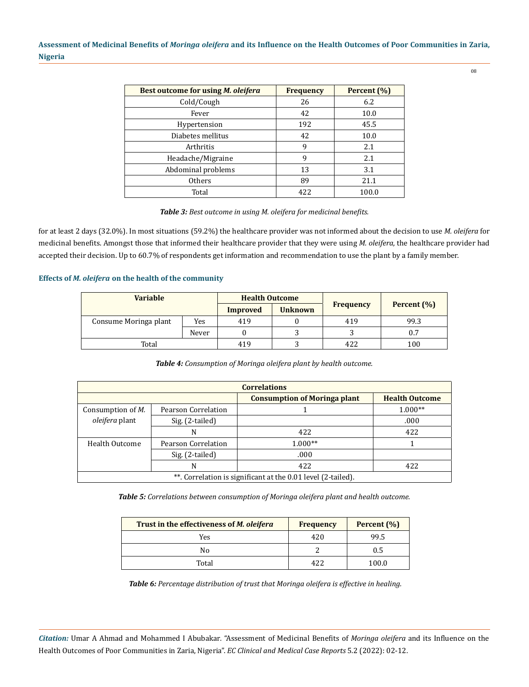08

| Best outcome for using M. oleifera | <b>Frequency</b> | Percent (%) |
|------------------------------------|------------------|-------------|
| Cold/Cough                         | 26               | 6.2         |
| Fever                              | 42               | 10.0        |
| Hypertension                       | 192              | 45.5        |
| Diabetes mellitus                  | 42               | 10.0        |
| Arthritis                          | 9                | 2.1         |
| Headache/Migraine                  | 9                | 2.1         |
| Abdominal problems                 | 13               | 3.1         |
| <b>Others</b>                      | 89               | 21.1        |
| Total                              | 422              | 100.0       |

#### *Table 3: Best outcome in using M. oleifera for medicinal benefits.*

for at least 2 days (32.0%). In most situations (59.2%) the healthcare provider was not informed about the decision to use *M. oleifera* for medicinal benefits. Amongst those that informed their healthcare provider that they were using *M. oleifera*, the healthcare provider had accepted their decision. Up to 60.7% of respondents get information and recommendation to use the plant by a family member.

#### **Effects of** *M. oleifera* **on the health of the community**

| <b>Variable</b>       |       | <b>Health Outcome</b> |                |                  |             |
|-----------------------|-------|-----------------------|----------------|------------------|-------------|
|                       |       | Improved              | <b>Unknown</b> | <b>Frequency</b> | Percent (%) |
| Consume Moringa plant | Yes   | 419                   |                | 419              | 99.3        |
|                       | Never |                       |                |                  | 0.7         |
| Total                 |       | 419                   |                |                  | 100         |

## *Table 4: Consumption of Moringa oleifera plant by health outcome.*

| <b>Correlations</b>                                          |                     |                                     |                       |  |  |
|--------------------------------------------------------------|---------------------|-------------------------------------|-----------------------|--|--|
|                                                              |                     | <b>Consumption of Moringa plant</b> | <b>Health Outcome</b> |  |  |
| Consumption of <i>M</i> .                                    | Pearson Correlation |                                     | $1.000**$             |  |  |
| <i>oleifera</i> plant                                        | Sig. (2-tailed)     |                                     | .000                  |  |  |
|                                                              | N                   | 422                                 | 422                   |  |  |
| Health Outcome                                               | Pearson Correlation | $1.000**$                           |                       |  |  |
|                                                              | Sig. (2-tailed)     | .000                                |                       |  |  |
|                                                              | N                   | 422                                 | 422                   |  |  |
| **. Correlation is significant at the 0.01 level (2-tailed). |                     |                                     |                       |  |  |

*Table 5: Correlations between consumption of Moringa oleifera plant and health outcome.*

| Trust in the effectiveness of <i>M. oleifera</i> | <b>Frequency</b> | Percent (%) |
|--------------------------------------------------|------------------|-------------|
| Yes                                              | 420              | 99.5        |
| Nο                                               |                  | 0.5         |
| Total                                            | 477              | 100.0       |

*Table 6: Percentage distribution of trust that Moringa oleifera is effective in healing.*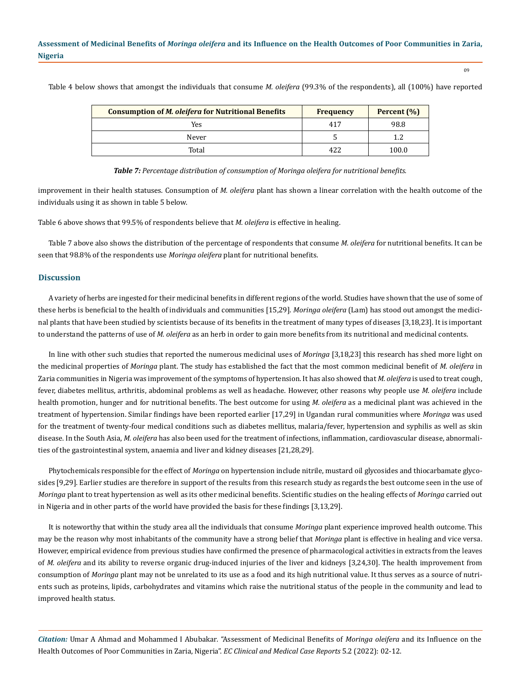| <b>Consumption of <i>M. oleifera</i></b> for Nutritional Benefits | <b>Frequency</b> | Percent (%) |
|-------------------------------------------------------------------|------------------|-------------|
| Yes                                                               | 417              | 98.8        |
| Never                                                             |                  |             |
| Total                                                             | 422              | 100.0       |

Table 4 below shows that amongst the individuals that consume *M. oleifera* (99.3% of the respondents), all (100%) have reported

 $09$ 

*Table 7: Percentage distribution of consumption of Moringa oleifera for nutritional benefits.*

improvement in their health statuses. Consumption of *M. oleifera* plant has shown a linear correlation with the health outcome of the individuals using it as shown in table 5 below.

Table 6 above shows that 99.5% of respondents believe that *M. oleifera* is effective in healing.

Table 7 above also shows the distribution of the percentage of respondents that consume *M. oleifera* for nutritional benefits. It can be seen that 98.8% of the respondents use *Moringa oleifera* plant for nutritional benefits.

## **Discussion**

A variety of herbs are ingested for their medicinal benefits in different regions of the world. Studies have shown that the use of some of these herbs is beneficial to the health of individuals and communities [15,29]. *Moringa oleifera* (Lam) has stood out amongst the medicinal plants that have been studied by scientists because of its benefits in the treatment of many types of diseases [3,18,23]. It is important to understand the patterns of use of *M. oleifera* as an herb in order to gain more benefits from its nutritional and medicinal contents.

In line with other such studies that reported the numerous medicinal uses of *Moringa* [3,18,23] this research has shed more light on the medicinal properties of *Moringa* plant. The study has established the fact that the most common medicinal benefit of *M. oleifera* in Zaria communities in Nigeria was improvement of the symptoms of hypertension. It has also showed that *M. oleifera* is used to treat cough, fever, diabetes mellitus, arthritis, abdominal problems as well as headache. However, other reasons why people use *M*. *oleifera* include health promotion, hunger and for nutritional benefits. The best outcome for using *M. oleifera* as a medicinal plant was achieved in the treatment of hypertension. Similar findings have been reported earlier [17,29] in Ugandan rural communities where *Moringa* was used for the treatment of twenty-four medical conditions such as diabetes mellitus, malaria/fever, hypertension and syphilis as well as skin disease. In the South Asia, *M. oleifera* has also been used for the treatment of infections, inflammation, cardiovascular disease, abnormalities of the gastrointestinal system, anaemia and liver and kidney diseases [21,28,29].

Phytochemicals responsible for the effect of *Moringa* on hypertension include nitrile, mustard oil glycosides and thiocarbamate glycosides [9,29]. Earlier studies are therefore in support of the results from this research study as regards the best outcome seen in the use of *Moringa* plant to treat hypertension as well as its other medicinal benefits. Scientific studies on the healing effects of *Moringa* carried out in Nigeria and in other parts of the world have provided the basis for these findings [3,13,29].

It is noteworthy that within the study area all the individuals that consume *Moringa* plant experience improved health outcome. This may be the reason why most inhabitants of the community have a strong belief that *Moringa* plant is effective in healing and vice versa. However, empirical evidence from previous studies have confirmed the presence of pharmacological activities in extracts from the leaves of *M. oleifera* and its ability to reverse organic drug-induced injuries of the liver and kidneys [3,24,30]. The health improvement from consumption of *Moringa* plant may not be unrelated to its use as a food and its high nutritional value. It thus serves as a source of nutrients such as proteins, lipids, carbohydrates and vitamins which raise the nutritional status of the people in the community and lead to improved health status.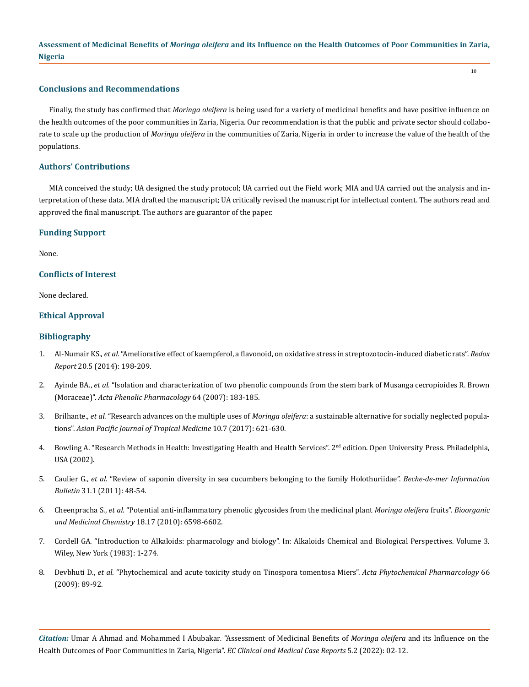10

#### **Conclusions and Recommendations**

Finally, the study has confirmed that *Moringa oleifera* is being used for a variety of medicinal benefits and have positive influence on the health outcomes of the poor communities in Zaria, Nigeria. Our recommendation is that the public and private sector should collaborate to scale up the production of *Moringa oleifera* in the communities of Zaria, Nigeria in order to increase the value of the health of the populations.

## **Authors' Contributions**

MIA conceived the study; UA designed the study protocol; UA carried out the Field work; MIA and UA carried out the analysis and interpretation of these data. MIA drafted the manuscript; UA critically revised the manuscript for intellectual content. The authors read and approved the final manuscript. The authors are guarantor of the paper.

#### **Funding Support**

None.

## **Conflicts of Interest**

None declared.

## **Ethical Approval**

#### **Bibliography**

- 1. Al-Numair KS., *et al*[. "Ameliorative effect of kaempferol, a flavonoid, on oxidative stress in streptozotocin-induced diabetic rats".](https://pubmed.ncbi.nlm.nih.gov/25494817/) *Redox Report* [20.5 \(2014\): 198-209.](https://pubmed.ncbi.nlm.nih.gov/25494817/)
- 2. Ayinde BA., *et al*[. "Isolation and characterization of two phenolic compounds from the stem bark of Musanga cecropioides R. Brown](https://pubmed.ncbi.nlm.nih.gov/17665870/)  (Moraceae)". *[Acta Phenolic Pharmacology](https://pubmed.ncbi.nlm.nih.gov/17665870/)* 64 (2007): 183-185.
- 3. Brilhante., *et al*. "Research advances on the multiple uses of *Moringa oleifera*[: a sustainable alternative for socially neglected popula](https://www.sciencedirect.com/science/article/pii/S1995764516307143)tions". *[Asian Pacific Journal of Tropical Medicine](https://www.sciencedirect.com/science/article/pii/S1995764516307143)* 10.7 (2017): 621-630.
- 4. Bowling A. "Research Methods in Health: Investigating Health and Health Services". 2<sup>nd</sup> edition. Open University Press. Philadelphia, USA (2002).
- 5. Caulier G., *et al*[. "Review of saponin diversity in sea cucumbers belonging to the family Holothuriidae".](https://www.researchgate.net/publication/263621608_Review_of_saponin_diversity_in_sea_cucumbers_belonging_to_the_family_Holothuriidae) *Beche-de-mer Information Bulletin* [31.1 \(2011\): 48-54.](https://www.researchgate.net/publication/263621608_Review_of_saponin_diversity_in_sea_cucumbers_belonging_to_the_family_Holothuriidae)
- 6. Cheenpracha S., *et al*[. "Potential anti-inflammatory phenolic glycosides from the medicinal plant](https://www.researchgate.net/publication/45504532_Potential_anti-inflammatory_phenolic_glycosides_from_the_medicinal_plant_Moringa_oleifera_fruits) *Moringa oleifera* fruits". *Bioorganic [and Medicinal Chemistry](https://www.researchgate.net/publication/45504532_Potential_anti-inflammatory_phenolic_glycosides_from_the_medicinal_plant_Moringa_oleifera_fruits)* 18.17 (2010): 6598-6602.
- 7. Cordell GA. "Introduction to Alkaloids: pharmacology and biology". In: Alkaloids Chemical and Biological Perspectives. Volume 3. Wiley, New York (1983): 1-274.
- 8. Devbhuti D., *et al*[. "Phytochemical and acute toxicity study on Tinospora tomentosa Miers".](https://pubmed.ncbi.nlm.nih.gov/19226975/) *Acta Phytochemical Pharmarcology* 66 [\(2009\): 89-92.](https://pubmed.ncbi.nlm.nih.gov/19226975/)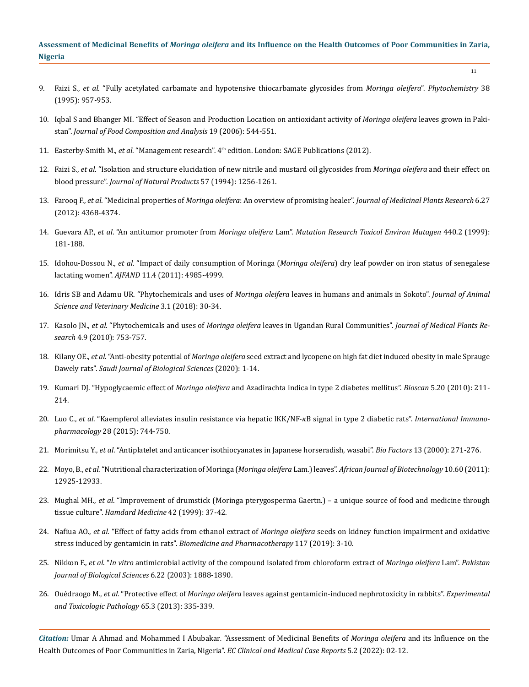- 9. Faizi S., *et al*[. "Fully acetylated carbamate and hypotensive thiocarbamate glycosides from](https://pubmed.ncbi.nlm.nih.gov/7766390/) *Moringa oleifera*". *Phytochemistry* 38 [\(1995\): 957-953.](https://pubmed.ncbi.nlm.nih.gov/7766390/)
- 10. [Iqbal S and Bhanger MI. "Effect of Season and Production Location on antioxidant activity of](https://www.sciencedirect.com/science/article/abs/pii/S0889157505000670) *Moringa oleifera* leaves grown in Pakistan". *[Journal of Food Composition and Analysis](https://www.sciencedirect.com/science/article/abs/pii/S0889157505000670)* 19 (2006): 544-551.
- 11. Easterby-Smith M., *et al*. "Management research". 4th edition. London: SAGE Publications (2012).
- 12. Faizi S., *et al*[. "Isolation and structure elucidation of new nitrile and mustard oil glycosides from](https://pubmed.ncbi.nlm.nih.gov/7798960/) *Moringa oleifera* and their effect on blood pressure". *[Journal of Natural Products](https://pubmed.ncbi.nlm.nih.gov/7798960/)* 57 (1994): 1256-1261.
- 13. Farooq F., *et al*. "Medicinal properties of *Moringa oleifera*: An overview of promising healer". *[Journal of Medicinal Plants Research](https://www.researchgate.net/publication/229439393_Medicinal_properties_of_Moringa_oleifera_An_overview_of_promising_healer)* 6.27 [\(2012\): 4368-4374.](https://www.researchgate.net/publication/229439393_Medicinal_properties_of_Moringa_oleifera_An_overview_of_promising_healer)
- 14. Guevara AP., *et al*. "An antitumor promoter from *Moringa oleifera* Lam". *[Mutation Research Toxicol Environ Mutagen](https://pubmed.ncbi.nlm.nih.gov/10209341/)* 440.2 (1999): [181-188.](https://pubmed.ncbi.nlm.nih.gov/10209341/)
- 15. Idohou-Dossou N., *et al*. "Impact of daily consumption of Moringa (*Moringa oleifera*[\) dry leaf powder on iron status of senegalese](https://www.researchgate.net/publication/268058812_Impact_of_daily_consumption_of_Moringa_Moringa_oleifera_dry_leaf_powder_on_iron_status_of_Senegalese_lactating_women) lactating women". *AJFAND* [11.4 \(2011\): 4985-4999.](https://www.researchgate.net/publication/268058812_Impact_of_daily_consumption_of_Moringa_Moringa_oleifera_dry_leaf_powder_on_iron_status_of_Senegalese_lactating_women)
- 16. [Idris SB and Adamu UR. "Phytochemicals and uses of](https://www.researchgate.net/publication/334542314_Phytochemicals_and_uses_of_Moringa_oleifera_leaves_in_humans_and_animals_in_Sokoto) *Moringa oleifera* leaves in humans and animals in Sokoto". *Journal of Animal [Science and Veterinary Medicine](https://www.researchgate.net/publication/334542314_Phytochemicals_and_uses_of_Moringa_oleifera_leaves_in_humans_and_animals_in_Sokoto)* 3.1 (2018): 30-34.
- 17. Kasolo JN., *et al*. "Phytochemicals and uses of *Moringa oleifera* [leaves in Ugandan Rural Communities".](https://academicjournals.org/journal/JMPR/article-abstract/5F654D120796) *Journal of Medical Plants Research* [4.9 \(2010\): 753-757.](https://academicjournals.org/journal/JMPR/article-abstract/5F654D120796)
- 18. Kilany OE., *et al*. "Anti-obesity potential of *Moringa oleifera* [seed extract and lycopene on high fat diet induced obesity in male Sprauge](https://www.sciencedirect.com/science/article/pii/S1319562X20302655) Dawely rats". *[Saudi Journal of Biological Sciences](https://www.sciencedirect.com/science/article/pii/S1319562X20302655)* (2020): 1-14.
- 19. Kumari DJ. "Hypoglycaemic effect of *Moringa oleifera* [and Azadirachta indica in type 2 diabetes mellitus".](https://www.ozempic.com/lifestyle-tips/what-is-type-2-diabetes.html?modal=isi&&utm_source=google&utm_medium=cpc&utm_term=diabetes%20type%20ii&utm_campaign=New+5+BMM+Shared+TRE+Type+2+General&mkwid=s-dc_pcrid_571010177954_pkw_diabetes%20type%20ii_pmt_p_slid__product_&pgrid=131019857883&ptaid=kwd-297610588695&gclid=EAIaIQobChMIx6udxoq79QIVS2oqCh1icgAhEAAYASAAEgLk2fD_BwE&gclsrc=aw.ds) *Bioscan* 5.20 (2010): 211- [214.](https://www.ozempic.com/lifestyle-tips/what-is-type-2-diabetes.html?modal=isi&&utm_source=google&utm_medium=cpc&utm_term=diabetes%20type%20ii&utm_campaign=New+5+BMM+Shared+TRE+Type+2+General&mkwid=s-dc_pcrid_571010177954_pkw_diabetes%20type%20ii_pmt_p_slid__product_&pgrid=131019857883&ptaid=kwd-297610588695&gclid=EAIaIQobChMIx6udxoq79QIVS2oqCh1icgAhEAAYASAAEgLk2fD_BwE&gclsrc=aw.ds)
- 20. Luo C., *et al*[. "Kaempferol alleviates insulin resistance via hepatic IKK/NF-B signal in type 2 diabetic rats".](https://pubmed.ncbi.nlm.nih.gov/26263168/) *International Immunopharmacology* [28 \(2015\): 744-750.](https://pubmed.ncbi.nlm.nih.gov/26263168/)
- 21. Morimitsu Y., *et al*[. "Antiplatelet and anticancer isothiocyanates in Japanese horseradish, wasabi".](https://pubmed.ncbi.nlm.nih.gov/11237193/) *Bio Factors* 13 (2000): 271-276.
- 22. Moyo, B., *et al*[. "Nutritional characterization of Moringa \(](https://www.ajol.info/index.php/ajb/article/view/96497)*Moringa oleifera* Lam.) leaves". *African Journal of Biotechnology* 10.60 (2011): [12925-12933.](https://www.ajol.info/index.php/ajb/article/view/96497)
- 23. Mughal MH., *et al*[. "Improvement of drumstick \(Moringa pterygosperma Gaertn.\) a unique source of food and medicine through](https://eurekamag.com/research/003/471/003471247.php) tissue culture". *[Hamdard Medicine](https://eurekamag.com/research/003/471/003471247.php)* 42 (1999): 37-42.
- 24. Nafiua AO., *et al*. "Effect of fatty acids from ethanol extract of *Moringa oleifera* [seeds on kidney function impairment and oxidative](https://pubmed.ncbi.nlm.nih.gov/31387184/) stress induced by gentamicin in rats". *[Biomedicine and Pharmacotherapy](https://pubmed.ncbi.nlm.nih.gov/31387184/)* 117 (2019): 3-10.
- 25. Nikkon F., *et al*. "*In vitro* [antimicrobial activity of the compound isolated from chloroform extract of](https://www.researchgate.net/publication/45726452_In_vitro_Antimicrobial_Activity_of_the_Compound_Isolated_from_Chloroform_Extract_of_Moringa_oleifera_Lam) *Moringa oleifera* Lam". *Pakistan [Journal of Biological Sciences](https://www.researchgate.net/publication/45726452_In_vitro_Antimicrobial_Activity_of_the_Compound_Isolated_from_Chloroform_Extract_of_Moringa_oleifera_Lam)* 6.22 (2003): 1888-1890.
- 26. Ouédraogo M., *et al*. "Protective effect of *Moringa oleifera* [leaves against gentamicin-induced nephrotoxicity in rabbits".](https://www.researchgate.net/publication/51923263_Protective_effect_of_Moringa_oleifera_Leaves_against_gentamicin-induced_nephrotoxicity_in_rabbits) *Experimental [and Toxicologic Pathology](https://www.researchgate.net/publication/51923263_Protective_effect_of_Moringa_oleifera_Leaves_against_gentamicin-induced_nephrotoxicity_in_rabbits)* 65.3 (2013): 335-339.

*Citation:* Umar A Ahmad and Mohammed I Abubakar*.* "Assessment of Medicinal Benefits of *Moringa oleifera* and its Influence on the Health Outcomes of Poor Communities in Zaria, Nigeria". *EC Clinical and Medical Case Reports* 5.2 (2022): 02-12.